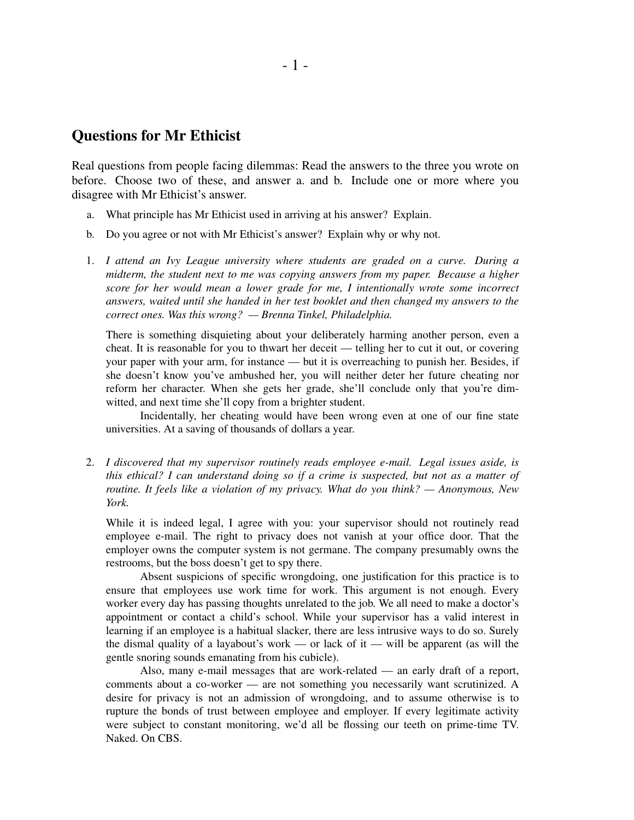## **Questions for Mr Ethicist**

Real questions from people facing dilemmas: Read the answers to the three you wrote on before. Choose two of these, and answer a. and b. Include one or more where you disagree with Mr Ethicist's answer.

- a. What principle has Mr Ethicist used in arriving at his answer? Explain.
- b. Do you agree or not with Mr Ethicist's answer? Explain why or why not.
- 1. *I attend an Ivy League university where students are graded on a curve. During a midterm, the student next to me was copying answers from my paper. Because a higher score for her would mean a lower grade for me,Iintentionally wrote some incorrect answers, waited until she handed in her test booklet and then changed my answers to the correct ones. Was this wrong? — Brenna Tinkel, Philadelphia.*

There is something disquieting about your deliberately harming another person, even a cheat. It is reasonable for you to thwart her deceit — telling her to cut it out, or covering your paper with your arm, for instance — but it is overreaching to punish her. Besides, if she doesn't know you've ambushed her, you will neither deter her future cheating nor reform her character. When she gets her grade, she'll conclude only that you're dimwitted, and next time she'll copy from a brighter student.

Incidentally, her cheating would have been wrong even at one of our fine state universities. At a saving of thousands of dollars a year.

2. *I discovered that my supervisor routinely reads employee e-mail. Legal issues aside, is this ethical? I can understand doing so if a crime is suspected, but not as a matter of routine. It feels like a violation of my privacy. What do you think? — Anonymous, New York.*

While it is indeed legal, I agree with you: your supervisor should not routinely read employee e-mail. The right to privacy does not vanish at your office door. That the employer owns the computer system is not germane. The company presumably owns the restrooms, but the boss doesn't get to spy there.

Absent suspicions of specific wrongdoing, one justification for this practice is to ensure that employees use work time for work. This argument is not enough. Every worker every day has passing thoughts unrelated to the job. We all need to make a doctor's appointment or contact a child's school. While your supervisor has a valid interest in learning if an employee is a habitual slacker, there are less intrusive ways to do so. Surely the dismal quality of a layabout's work — or lack of it — will be apparent (as will the gentle snoring sounds emanating from his cubicle).

Also, many e-mail messages that are work-related — an early draft of a report, comments about a co-worker — are not something you necessarily want scrutinized. A desire for privacy is not an admission of wrongdoing, and to assume otherwise is to rupture the bonds of trust between employee and employer. If every legitimate activity were subject to constant monitoring, we'd all be flossing our teeth on prime-time TV. Naked. On CBS.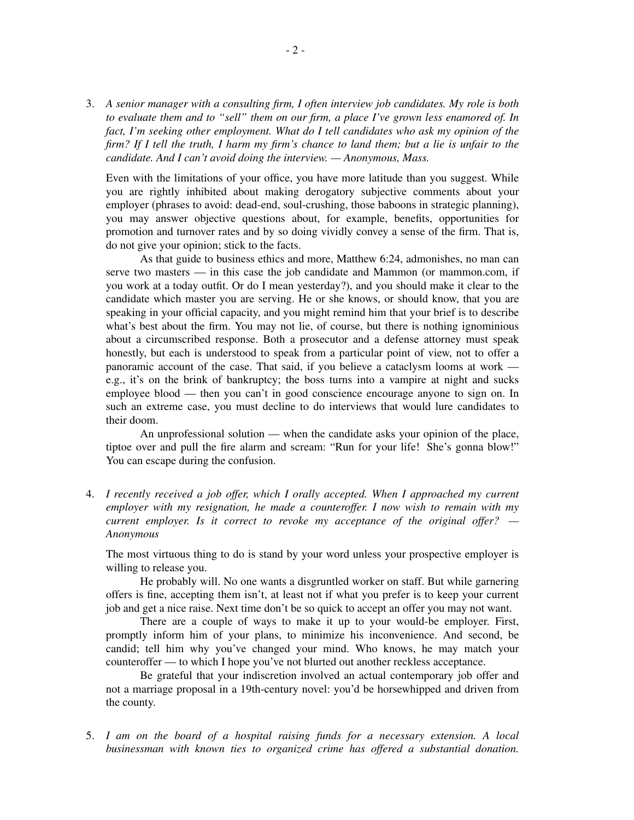3. *A senior manager with a consulting firm, I often interview job candidates. My role is both to evaluate them and to "sell" them on our firm, a place I've grown less enamored of. In fact, I'm seeking other employment. What do I tell candidates who ask my opinion of the firm? If I tell the truth, I harm my firm's chance to land them; but a lie is unfair to the candidate. And I can't avoid doing the interview. — Anonymous, Mass.*

Even with the limitations of your office, you have more latitude than you suggest. While you are rightly inhibited about making derogatory subjective comments about your employer (phrases to avoid: dead-end, soul-crushing, those baboons in strategic planning), you may answer objective questions about, for example, benefits, opportunities for promotion and turnover rates and by so doing vividly convey a sense of the firm. That is, do not give your opinion; stick to the facts.

As that guide to business ethics and more, Matthew 6:24, admonishes, no man can serve two masters — in this case the job candidate and Mammon (or mammon.com, if you work at a today outfit. Or do I mean yesterday?), and you should make it clear to the candidate which master you are serving. He or she knows, or should know, that you are speaking in your official capacity, and you might remind him that your brief is to describe what's best about the firm. You may not lie, of course, but there is nothing ignominious about a circumscribed response. Both a prosecutor and a defense attorney must speak honestly, but each is understood to speak from a particular point of view, not to offer a panoramic account of the case. That said, if you believe a cataclysm looms at work e.g., it's on the brink of bankruptcy; the boss turns into a vampire at night and sucks employee blood — then you can't in good conscience encourage anyone to sign on. In such an extreme case, you must decline to do interviews that would lure candidates to their doom.

An unprofessional solution — when the candidate asks your opinion of the place, tiptoe over and pull the fire alarm and scream: "Run for your life! She's gonna blow!" You can escape during the confusion.

4. *I recently received a job offer, whichIorally accepted. When I approached my current employer with my resignation, he made a counteroffer.Inow wish to remain with my current employer. Is it correct to revoke my acceptance of the original offer? — Anonymous*

The most virtuous thing to do is stand by your word unless your prospective employer is willing to release you.

He probably will. No one wants a disgruntled worker on staff. But while garnering offers is fine, accepting them isn't, at least not if what you prefer is to keep your current job and get a nice raise. Next time don't be so quick to accept an offer you may not want.

There are a couple of ways to make it up to your would-be employer. First, promptly inform him of your plans, to minimize his inconvenience. And second, be candid; tell him why you've changed your mind. Who knows, he may match your counteroffer — to which I hope you've not blurted out another reckless acceptance.

Be grateful that your indiscretion involved an actual contemporary job offer and not a marriage proposal in a 19th-century novel: you'd be horsewhipped and driven from the county.

5. *I am on the board of a hospital raising funds for a necessary extension. A local businessman with known ties to organized crime has offered a substantial donation.*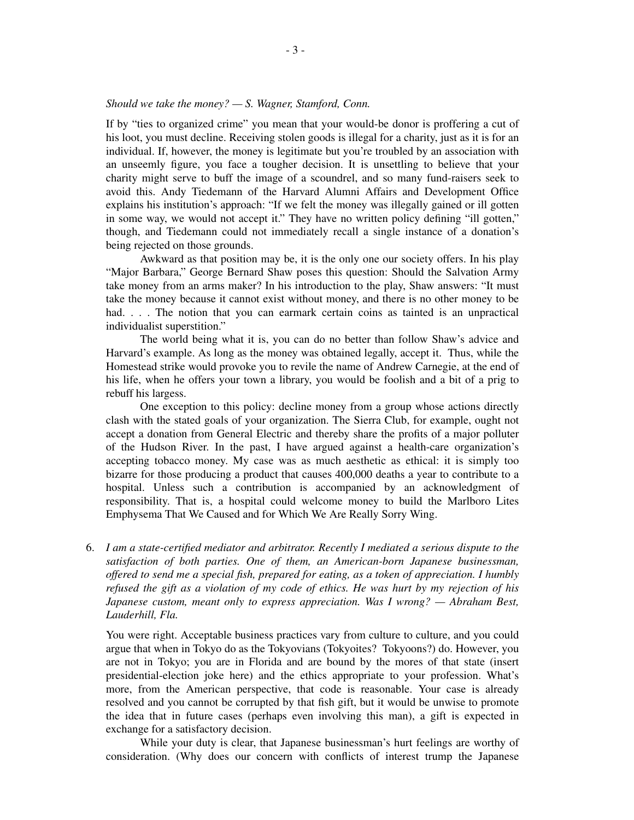## *Should we take the money? — S. Wagner, Stamford, Conn.*

If by "ties to organized crime" you mean that your would-be donor is proffering a cut of his loot, you must decline. Receiving stolen goods is illegal for a charity, just as it is for an individual. If, however, the money is legitimate but you're troubled by an association with an unseemly figure, you face a tougher decision. It is unsettling to believe that your charity might serve to buff the image of a scoundrel, and so many fund-raisers seek to avoid this. Andy Tiedemann of the Harvard Alumni Affairs and Development Office explains his institution's approach: "If we felt the money was illegally gained or ill gotten in some way, we would not accept it." They have no written policy defining "ill gotten," though, and Tiedemann could not immediately recall a single instance of a donation's being rejected on those grounds.

Awkward as that position may be, it is the only one our society offers. In his play "Major Barbara," George Bernard Shaw poses this question: Should the Salvation Army take money from an arms maker? In his introduction to the play, Shaw answers: "It must take the money because it cannot exist without money, and there is no other money to be had. . . . The notion that you can earmark certain coins as tainted is an unpractical individualist superstition."

The world being what it is, you can do no better than follow Shaw's advice and Harvard's example. As long as the money was obtained legally, accept it. Thus, while the Homestead strike would provoke you to revile the name of Andrew Carnegie, at the end of his life, when he offers your town a library, you would be foolish and a bit of a prig to rebuff his largess.

One exception to this policy: decline money from a group whose actions directly clash with the stated goals of your organization. The Sierra Club, for example, ought not accept a donation from General Electric and thereby share the profits of a major polluter of the Hudson River. In the past, I have argued against a health-care organization's accepting tobacco money. My case was as much aesthetic as ethical: it is simply too bizarre for those producing a product that causes 400,000 deaths a year to contribute to a hospital. Unless such a contribution is accompanied by an acknowledgment of responsibility. That is, a hospital could welcome money to build the Marlboro Lites Emphysema That We Caused and for Which We Are Really Sorry Wing.

6. *I am a state-certified mediator and arbitrator. Recently I mediated a serious dispute to the satisfaction of both parties. One of them, an American-born Japanese businessman, offered to send me a special fish, prepared for eating, as a token of appreciation. I humbly refused the gift as a violation of my code of ethics. He was hurt by my rejection of his Japanese custom, meant only to express appreciation. Was I wrong? — Abraham Best, Lauderhill, Fla.*

You were right. Acceptable business practices vary from culture to culture, and you could argue that when in Tokyo do as the Tokyovians (Tokyoites? Tokyoons?) do. However, you are not in Tokyo; you are in Florida and are bound by the mores of that state (insert presidential-election joke here) and the ethics appropriate to your profession. What's more, from the American perspective, that code is reasonable. Your case is already resolved and you cannot be corrupted by that fish gift, but it would be unwise to promote the idea that in future cases (perhaps even involving this man), a gift is expected in exchange for a satisfactory decision.

While your duty is clear, that Japanese businessman's hurt feelings are worthy of consideration. (Why does our concern with conflicts of interest trump the Japanese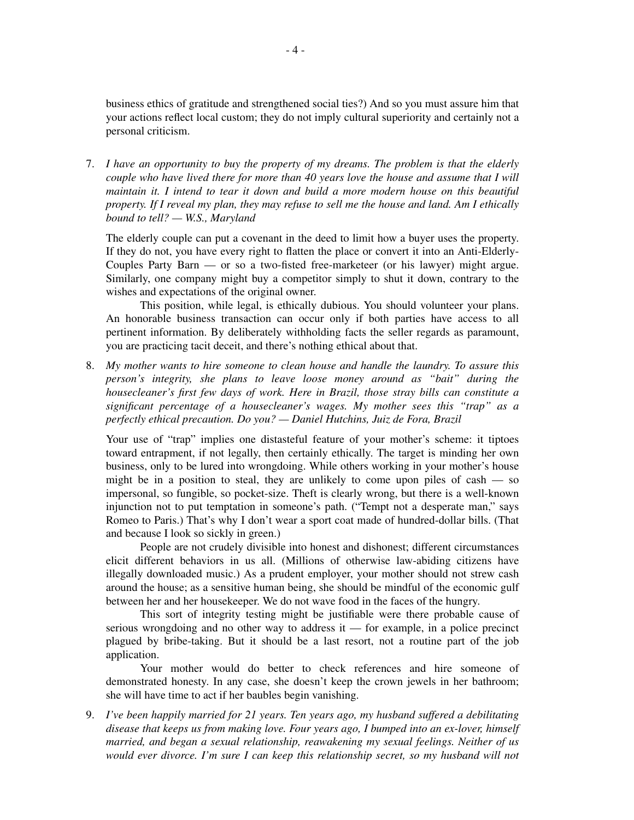business ethics of gratitude and strengthened social ties?) And so you must assure him that your actions reflect local custom; they do not imply cultural superiority and certainly not a personal criticism.

7. *I have an opportunity to buy the property of my dreams. The problem is that the elderly couple who have lived there for more than 40 years love the house and assume that I will maintain it. I intend to tear it down and build a more modern house on this beautiful property. If I reveal my plan, they may refuse to sell me the house and land. Am I ethically bound to tell? — W.S., Maryland*

The elderly couple can put a covenant in the deed to limit how a buyer uses the property. If they do not, you have every right to flatten the place or convert it into an Anti-Elderly-Couples Party Barn — or so a two-fisted free-marketeer (or his lawyer) might argue. Similarly, one company might buy a competitor simply to shut it down, contrary to the wishes and expectations of the original owner.

This position, while legal, is ethically dubious. You should volunteer your plans. An honorable business transaction can occur only if both parties have access to all pertinent information. By deliberately withholding facts the seller regards as paramount, you are practicing tacit deceit, and there's nothing ethical about that.

8. *My mother wants to hire someone to clean house and handle the laundry. To assure this person's integrity, she plans to leave loose money around as "bait" during the housecleaner's first few days of work. Here in Brazil, those stray bills can constitute a significant percentage ofa housecleaner's wages. My mother sees this "trap" as a perfectly ethical precaution. Do you? — Daniel Hutchins, Juiz de Fora, Brazil*

Your use of "trap" implies one distasteful feature of your mother's scheme: it tiptoes toward entrapment, if not legally, then certainly ethically. The target is minding her own business, only to be lured into wrongdoing. While others working in your mother's house might be in a position to steal, they are unlikely to come upon piles of cash — so impersonal, so fungible, so pocket-size. Theft is clearly wrong, but there is a well-known injunction not to put temptation in someone's path. ("Tempt not a desperate man," says Romeo to Paris.) That's why I don't wear a sport coat made of hundred-dollar bills. (That and because I look so sickly in green.)

People are not crudely divisible into honest and dishonest; different circumstances elicit different behaviors in us all. (Millions of otherwise law-abiding citizens have illegally downloaded music.) As a prudent employer, your mother should not strew cash around the house; as a sensitive human being, she should be mindful of the economic gulf between her and her housekeeper. We do not wave food in the faces of the hungry.

This sort of integrity testing might be justifiable were there probable cause of serious wrongdoing and no other way to address it — for example, in a police precinct plagued by bribe-taking. But it should be a last resort, not a routine part of the job application.

Your mother would do better to check references and hire someone of demonstrated honesty. In any case, she doesn't keep the crown jewels in her bathroom; she will have time to act if her baubles begin vanishing.

9. *I've been happily married for 21 years. Ten years ago, my husband suffered a debilitating disease that keeps us from making love. Four years ago, I bumped into an ex-lover, himself married, and began a sexual relationship, reawakening my sexual feelings. Neither of us would ever divorce. I'm sure I can keep this relationship secret, so my husband will not*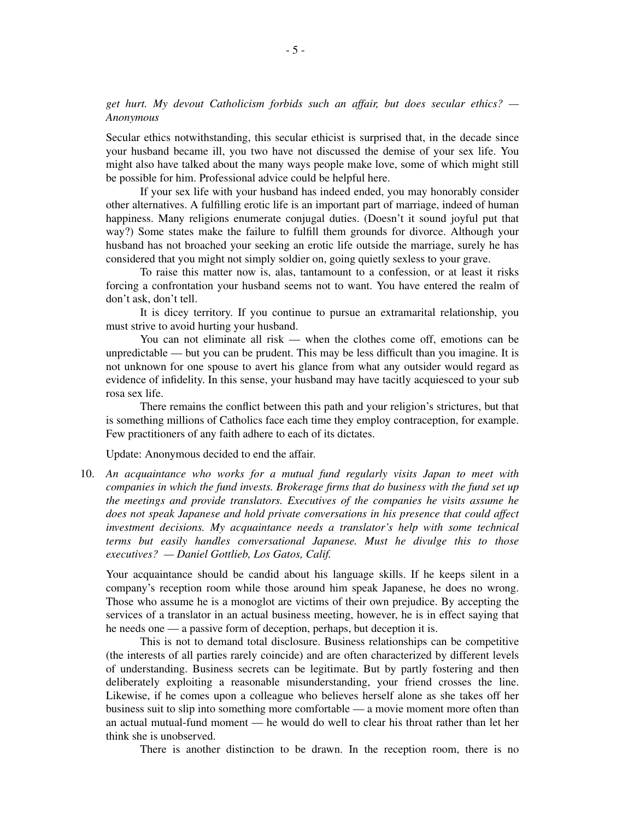*get hurt. My devout Catholicism forbids such an affair, but does secular ethics? — Anonymous*

Secular ethics notwithstanding, this secular ethicist is surprised that, in the decade since your husband became ill, you two have not discussed the demise of your sex life. You might also have talked about the many ways people make love, some of which might still be possible for him. Professional advice could be helpful here.

If your sex life with your husband has indeed ended, you may honorably consider other alternatives. A fulfilling erotic life is an important part of marriage, indeed of human happiness. Many religions enumerate conjugal duties. (Doesn't it sound joyful put that way?) Some states make the failure to fulfill them grounds for divorce. Although your husband has not broached your seeking an erotic life outside the marriage, surely he has considered that you might not simply soldier on, going quietly sexless to your grave.

To raise this matter now is, alas, tantamount to a confession, or at least it risks forcing a confrontation your husband seems not to want. You have entered the realm of don't ask, don't tell.

It is dicey territory. If you continue to pursue an extramarital relationship, you must strive to avoid hurting your husband.

You can not eliminate all risk — when the clothes come off, emotions can be unpredictable — but you can be prudent. This may be less difficult than you imagine. It is not unknown for one spouse to avert his glance from what any outsider would regard as evidence of infidelity. In this sense, your husband may have tacitly acquiesced to your sub rosa sex life.

There remains the conflict between this path and your religion's strictures, but that is something millions of Catholics face each time they employ contraception, for example. Few practitioners of any faith adhere to each of its dictates.

Update: Anonymous decided to end the affair.

10. *An acquaintance who works for a mutual fund regularly visits Japan to meet with companies in which the fund invests. Brokerage firms that do business with the fund set up the meetings and provide translators. Executives of the companies he visits assume he does not speak Japanese and hold private conversations in his presence that could affect investment decisions. My acquaintance needs a translator's help with some technical terms but easily handles conversational Japanese. Must he divulge this to those executives? — Daniel Gottlieb, Los Gatos, Calif.*

Your acquaintance should be candid about his language skills. If he keeps silent in a company's reception room while those around him speak Japanese, he does no wrong. Those who assume he is a monoglot are victims of their own prejudice. By accepting the services of a translator in an actual business meeting, however, he is in effect saying that he needs one — a passive form of deception, perhaps, but deception it is.

This is not to demand total disclosure. Business relationships can be competitive (the interests of all parties rarely coincide) and are often characterized by different levels of understanding. Business secrets can be legitimate. But by partly fostering and then deliberately exploiting a reasonable misunderstanding, your friend crosses the line. Likewise, if he comes upon a colleague who believes herself alone as she takes off her business suit to slip into something more comfortable — a movie moment more often than an actual mutual-fund moment — he would do well to clear his throat rather than let her think she is unobserved.

There is another distinction to be drawn. In the reception room, there is no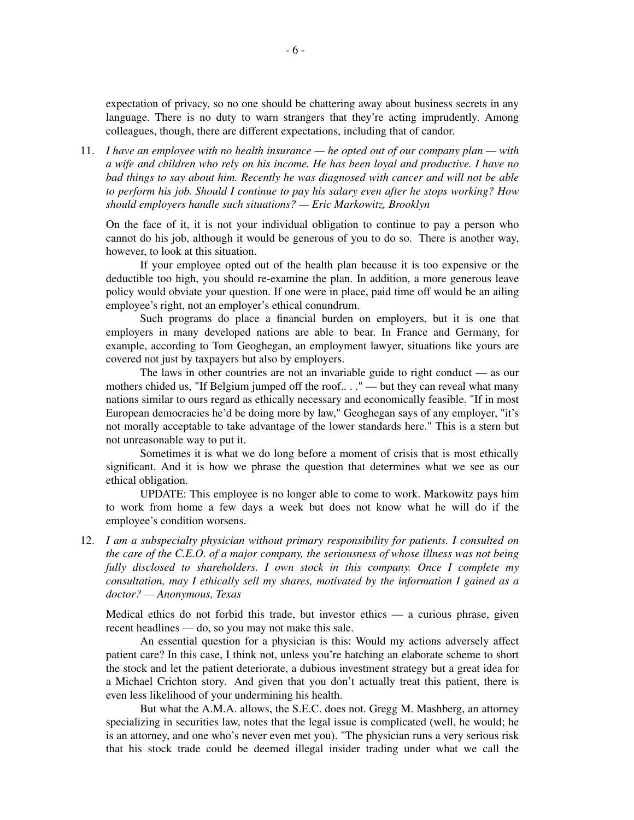expectation of privacy, so no one should be chattering away about business secrets in any language. There is no duty to warn strangers that they're acting imprudently. Among colleagues, though, there are different expectations, including that of candor.

11. *I have an employee with no health insurance — he opted out of our company plan — with a wife and children who rely on his income. He has been loyal and productive.Ihave no bad things to say about him. Recently he was diagnosed with cancer and will not be able to perform his job. Should I continue to pay his salary even after he stops working? How should employers handle such situations? — Eric Markowitz, Brooklyn*

On the face of it, it is not your individual obligation to continue to pay a person who cannot do his job, although it would be generous of you to do so. There is another way, however, to look at this situation.

If your employee opted out of the health plan because it is too expensive or the deductible too high, you should re-examine the plan. In addition, a more generous leave policy would obviate your question. If one were in place, paid time off would be an ailing employee's right, not an employer's ethical conundrum.

Such programs do place a financial burden on employers, but it is one that employers in many dev eloped nations are able to bear. In France and Germany, for example, according to Tom Geoghegan, an employment lawyer, situations like yours are covered not just by taxpayers but also by employers.

The laws in other countries are not an invariable guide to right conduct — as our mothers chided us, "If Belgium jumped off the roof.. . ." — but they can reveal what many nations similar to ours regard as ethically necessary and economically feasible. "If in most European democracies he'd be doing more by law," Geoghegan says of any employer, "it's not morally acceptable to take advantage of the lower standards here." This is a stern but not unreasonable way to put it.

Sometimes it is what we do long before a moment of crisis that is most ethically significant. And it is how we phrase the question that determines what we see as our ethical obligation.

UPDATE: This employee is no longer able to come to work. Markowitz pays him to work from home a few days a week but does not know what he will do if the employee's condition worsens.

12. *I am a subspecialty physician without primary responsibility for patients. I consulted on the care of the C.E.O. of a major company, the seriousness of whose illness was not being fully disclosed to shareholders. I own stock in this company. Once I complete my consultation, may I ethically sell my shares, motivated by the information I gained as a doctor? — Anonymous, Texas*

Medical ethics do not forbid this trade, but investor ethics — a curious phrase, given recent headlines — do, so you may not make this sale.

An essential question for a physician is this: Would my actions adversely affect patient care? In this case, I think not, unless you're hatching an elaborate scheme to short the stock and let the patient deteriorate, a dubious investment strategy but a great idea for a Michael Crichton story. And given that you don't actually treat this patient, there is even less likelihood of your undermining his health.

But what the A.M.A. allows, the S.E.C. does not. Gregg M. Mashberg, an attorney specializing in securities law, notes that the legal issue is complicated (well, he would; he is an attorney, and one who's never even met you). "The physician runs a very serious risk that his stock trade could be deemed illegal insider trading under what we call the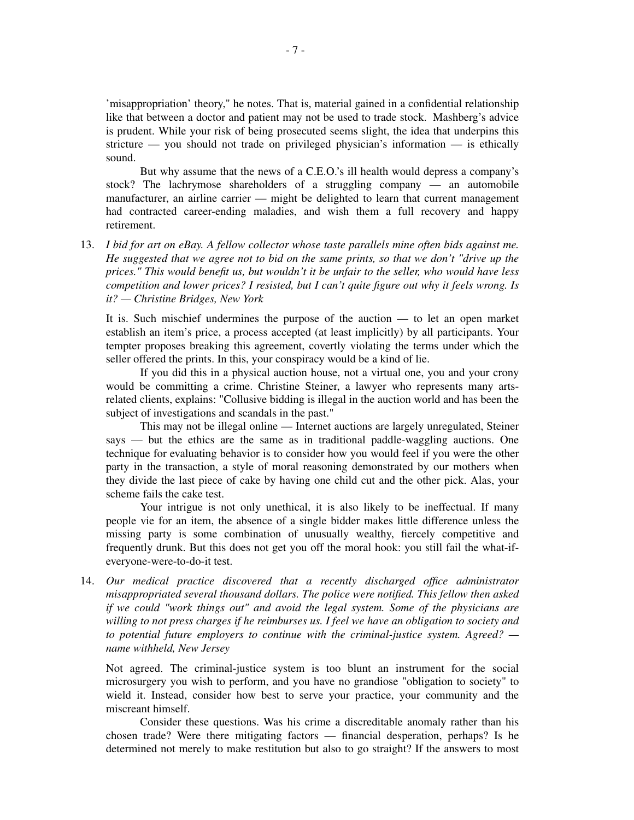'misappropriation' theory," he notes. That is, material gained in a confidential relationship like that between a doctor and patient may not be used to trade stock. Mashberg's advice is prudent. While your risk of being prosecuted seems slight, the idea that underpins this stricture — you should not trade on privileged physician's information — is ethically sound.

But why assume that the news of a C.E.O.'s ill health would depress a company's stock? The lachrymose shareholders of a struggling company — an automobile manufacturer, an airline carrier — might be delighted to learn that current management had contracted career-ending maladies, and wish them a full recovery and happy retirement.

13. *I bid for art on eBay.Afellow collector whose taste parallels mine often bids against me. He suggested that we agree not to bid on the same prints, so that we don't "drive up the prices." This would benefit us, but wouldn't it be unfair to the seller, who would have less competition and lower prices? I resisted, but I can't quite figure out why it feels wrong. Is it? — Christine Bridges, New York*

It is. Such mischief undermines the purpose of the auction — to let an open market establish an item's price, a process accepted (at least implicitly) by all participants. Your tempter proposes breaking this agreement, covertly violating the terms under which the seller offered the prints. In this, your conspiracy would be a kind of lie.

If you did this in a physical auction house, not a virtual one, you and your crony would be committing a crime. Christine Steiner, a lawyer who represents many artsrelated clients, explains: "Collusive bidding is illegal in the auction world and has been the subject of investigations and scandals in the past."

This may not be illegal online — Internet auctions are largely unregulated, Steiner says — but the ethics are the same as in traditional paddle-waggling auctions. One technique for evaluating behavior is to consider how you would feel if you were the other party in the transaction, a style of moral reasoning demonstrated by our mothers when they divide the last piece of cake by having one child cut and the other pick. Alas, your scheme fails the cake test.

Your intrigue is not only unethical, it is also likely to be ineffectual. If many people vie for an item, the absence of a single bidder makes little difference unless the missing party is some combination of unusually wealthy, fiercely competitive and frequently drunk. But this does not get you off the moral hook: you still fail the what-ifeveryone-were-to-do-it test.

14. *Our medical practice discovered that a recently discharged office administrator misappropriated several thousand dollars. The police were notified. This fellow then asked if we could "work things out" and avoid the legal system. Some of the physicians are willing to not press charges if he reimburses us. I feel we have an obligation to society and to potential future employers to continue with the criminal-justice system. Agreed? name withheld, New Jersey*

Not agreed. The criminal-justice system is too blunt an instrument for the social microsurgery you wish to perform, and you have no grandiose "obligation to society" to wield it. Instead, consider how best to serve your practice, your community and the miscreant himself.

Consider these questions. Was his crime a discreditable anomaly rather than his chosen trade? Were there mitigating factors — financial desperation, perhaps? Is he determined not merely to make restitution but also to go straight? If the answers to most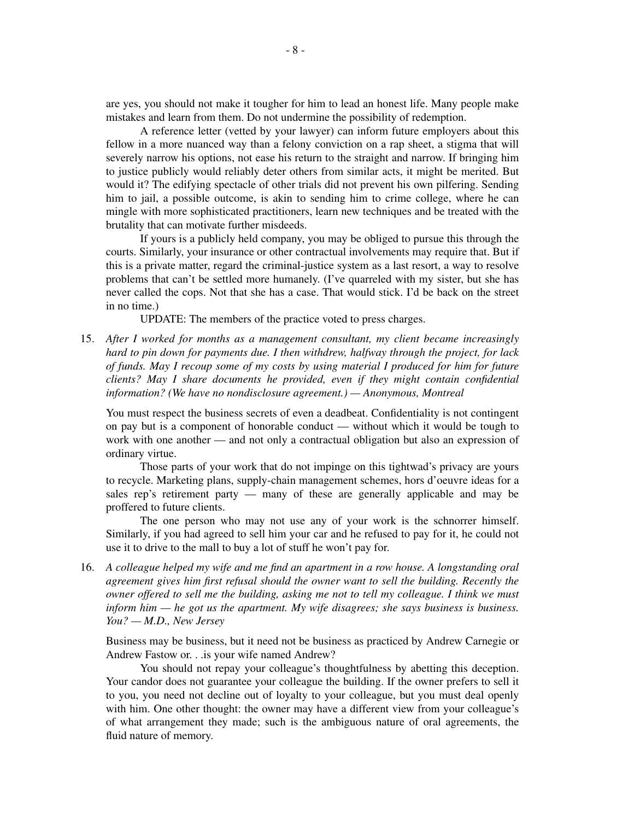are yes, you should not make it tougher for him to lead an honest life. Many people make mistakes and learn from them. Do not undermine the possibility of redemption.

A reference letter (vetted by your lawyer) can inform future employers about this fellow in a more nuanced way than a felony conviction on a rap sheet, a stigma that will severely narrow his options, not ease his return to the straight and narrow. If bringing him to justice publicly would reliably deter others from similar acts, it might be merited. But would it? The edifying spectacle of other trials did not prevent his own pilfering. Sending him to jail, a possible outcome, is akin to sending him to crime college, where he can mingle with more sophisticated practitioners, learn new techniques and be treated with the brutality that can motivate further misdeeds.

If yours is a publicly held company, you may be obliged to pursue this through the courts. Similarly, your insurance or other contractual involvements may require that. But if this is a private matter, regard the criminal-justice system as a last resort, a way to resolve problems that can't be settled more humanely. (I've quarreled with my sister, but she has never called the cops. Not that she has a case. That would stick. I'd be back on the street in no time.)

UPDATE: The members of the practice voted to press charges.

15. *After I worked for months as a management consultant, my client became increasingly hard to pin down for payments due.Ithen withdrew, halfway through the project, for lack of funds. May I recoup some of my costs by using material I produced for him for future clients? May I share documents he provided, even if they might contain confidential information? (We have no nondisclosure agreement.) — Anonymous, Montreal*

You must respect the business secrets of even a deadbeat. Confidentiality is not contingent on pay but is a component of honorable conduct — without which it would be tough to work with one another — and not only a contractual obligation but also an expression of ordinary virtue.

Those parts of your work that do not impinge on this tightwad's privacy are yours to recycle. Marketing plans, supply-chain management schemes, hors d'oeuvre ideas for a sales rep's retirement party — many of these are generally applicable and may be proffered to future clients.

The one person who may not use any of your work is the schnorrer himself. Similarly, if you had agreed to sell him your car and he refused to pay for it, he could not use it to drive to the mall to buy a lot of stuff he won't pay for.

16. *A colleague helped my wife and me find an apartment in a row house.Alongstanding oral agreement gives him first refusal should the owner want to sell the building. Recently the owner offered to sell me the building, asking me not to tell my colleague.Ithink we must inform him — he got us the apartment. My wife disagrees; she says business is business. You? — M.D., New Jersey*

Business may be business, but it need not be business as practiced by Andrew Carnegie or Andrew Fastow or. . .is your wife named Andrew?

You should not repay your colleague's thoughtfulness by abetting this deception. Your candor does not guarantee your colleague the building. If the owner prefers to sell it to you, you need not decline out of loyalty to your colleague, but you must deal openly with him. One other thought: the owner may have a different view from your colleague's of what arrangement they made; such is the ambiguous nature of oral agreements, the fluid nature of memory.